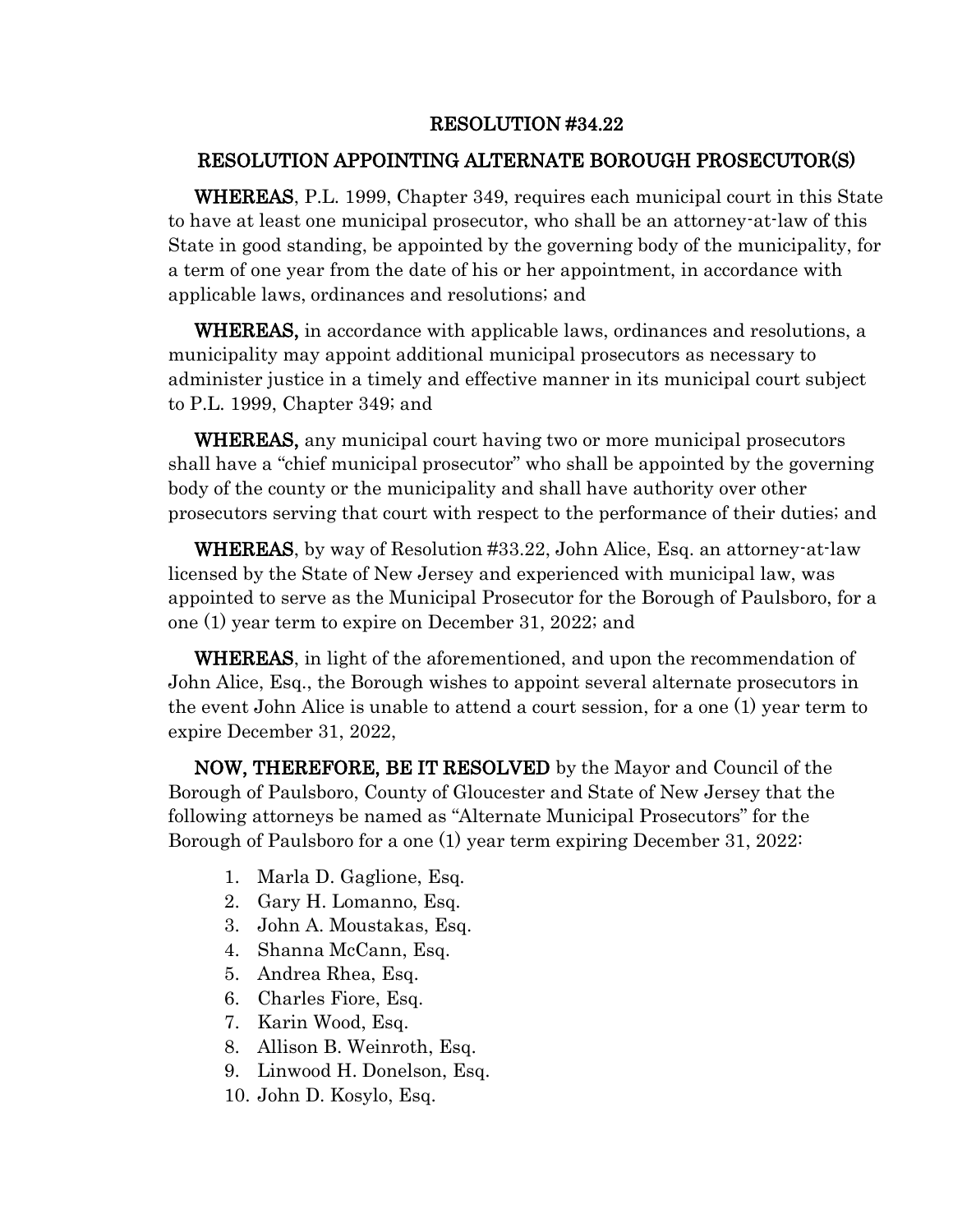## RESOLUTION #34.22

## RESOLUTION APPOINTING ALTERNATE BOROUGH PROSECUTOR(S)

 WHEREAS, P.L. 1999, Chapter 349, requires each municipal court in this State to have at least one municipal prosecutor, who shall be an attorney-at-law of this State in good standing, be appointed by the governing body of the municipality, for a term of one year from the date of his or her appointment, in accordance with applicable laws, ordinances and resolutions; and

 WHEREAS, in accordance with applicable laws, ordinances and resolutions, a municipality may appoint additional municipal prosecutors as necessary to administer justice in a timely and effective manner in its municipal court subject to P.L. 1999, Chapter 349; and

 WHEREAS, any municipal court having two or more municipal prosecutors shall have a "chief municipal prosecutor" who shall be appointed by the governing body of the county or the municipality and shall have authority over other prosecutors serving that court with respect to the performance of their duties; and

 WHEREAS, by way of Resolution #33.22, John Alice, Esq. an attorney-at-law licensed by the State of New Jersey and experienced with municipal law, was appointed to serve as the Municipal Prosecutor for the Borough of Paulsboro, for a one (1) year term to expire on December 31, 2022; and

 WHEREAS, in light of the aforementioned, and upon the recommendation of John Alice, Esq., the Borough wishes to appoint several alternate prosecutors in the event John Alice is unable to attend a court session, for a one (1) year term to expire December 31, 2022,

 NOW, THEREFORE, BE IT RESOLVED by the Mayor and Council of the Borough of Paulsboro, County of Gloucester and State of New Jersey that the following attorneys be named as "Alternate Municipal Prosecutors" for the Borough of Paulsboro for a one (1) year term expiring December 31, 2022:

- 1. Marla D. Gaglione, Esq.
- 2. Gary H. Lomanno, Esq.
- 3. John A. Moustakas, Esq.
- 4. Shanna McCann, Esq.
- 5. Andrea Rhea, Esq.
- 6. Charles Fiore, Esq.
- 7. Karin Wood, Esq.
- 8. Allison B. Weinroth, Esq.
- 9. Linwood H. Donelson, Esq.
- 10. John D. Kosylo, Esq.